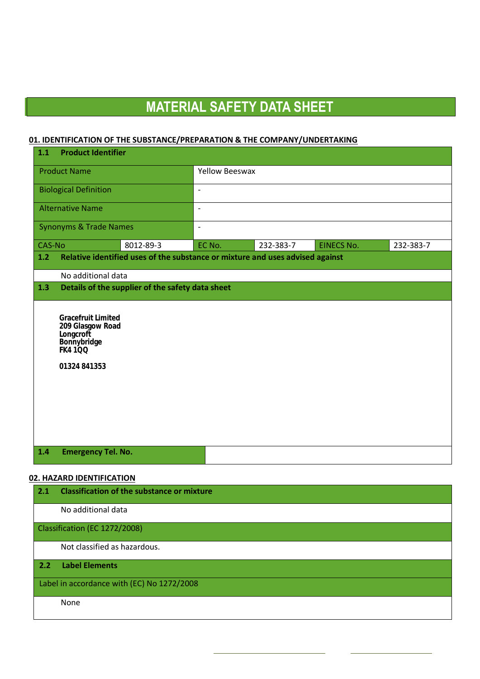#### **01. IDENTIFICATION OF THE SUBSTANCE/PREPARATION & THE COMPANY/UNDERTAKING**

| $1.1$                        | <b>Product Identifier</b>                                                                           |                                                                               |                |           |                   |           |
|------------------------------|-----------------------------------------------------------------------------------------------------|-------------------------------------------------------------------------------|----------------|-----------|-------------------|-----------|
| <b>Product Name</b>          |                                                                                                     | <b>Yellow Beeswax</b>                                                         |                |           |                   |           |
| <b>Biological Definition</b> |                                                                                                     | $\blacksquare$                                                                |                |           |                   |           |
|                              | <b>Alternative Name</b>                                                                             |                                                                               | $\blacksquare$ |           |                   |           |
|                              | <b>Synonyms &amp; Trade Names</b>                                                                   |                                                                               | $\blacksquare$ |           |                   |           |
| CAS-No                       |                                                                                                     | 8012-89-3                                                                     | EC No.         | 232-383-7 | <b>EINECS No.</b> | 232-383-7 |
| 1.2                          |                                                                                                     | Relative identified uses of the substance or mixture and uses advised against |                |           |                   |           |
|                              | No additional data                                                                                  |                                                                               |                |           |                   |           |
| 1.3                          |                                                                                                     | Details of the supplier of the safety data sheet                              |                |           |                   |           |
|                              | Gracefruit Limited<br>209 Glasgow Road<br>Longcroft<br>Bonnybridge<br><b>FK4100</b><br>01324 841353 |                                                                               |                |           |                   |           |
| 1.4                          | <b>Emergency Tel. No.</b>                                                                           |                                                                               |                |           |                   |           |

#### **02. HAZARD IDENTIFICATION**

| 2.1 | <b>Classification of the substance or mixture</b> |
|-----|---------------------------------------------------|
|     | No additional data                                |
|     | Classification (EC 1272/2008)                     |
|     | Not classified as hazardous.                      |
| 2.2 | <b>Label Elements</b>                             |
|     | Label in accordance with (EC) No 1272/2008        |
|     | None                                              |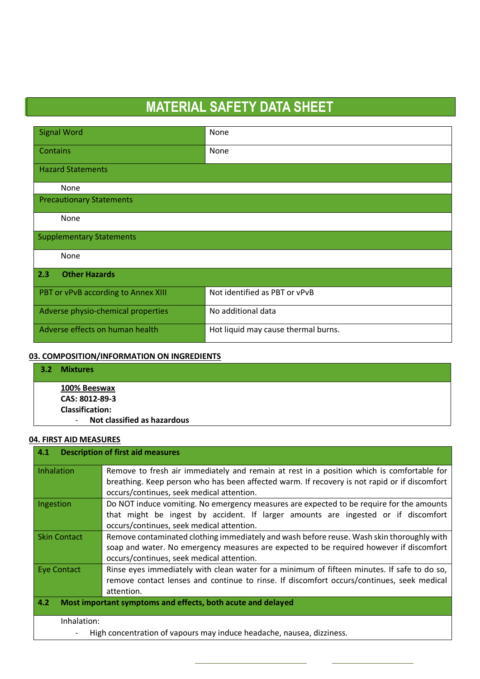| <b>Signal Word</b>                  | None                                |  |  |
|-------------------------------------|-------------------------------------|--|--|
| Contains                            | None                                |  |  |
| <b>Hazard Statements</b>            |                                     |  |  |
| None                                |                                     |  |  |
| <b>Precautionary Statements</b>     |                                     |  |  |
| None                                |                                     |  |  |
| <b>Supplementary Statements</b>     |                                     |  |  |
| None                                |                                     |  |  |
| <b>Other Hazards</b><br>2.3         |                                     |  |  |
| PBT or vPvB according to Annex XIII | Not identified as PBT or vPvB       |  |  |
| Adverse physio-chemical properties  | No additional data                  |  |  |
| Adverse effects on human health     | Hot liquid may cause thermal burns. |  |  |

#### **03. COMPOSITION/INFORMATION ON INGREDIENTS**

| 3.2 | <b>Mixtures</b>                       |
|-----|---------------------------------------|
|     | 100% Beeswax                          |
|     | CAS: 8012-89-3                        |
|     | <b>Classification:</b>                |
|     | Not classified as hazardous<br>$\sim$ |

#### **04. FIRST AID MEASURES**

| <b>Description of first aid measures</b><br>4.1                       |                                                                                              |  |  |
|-----------------------------------------------------------------------|----------------------------------------------------------------------------------------------|--|--|
| Inhalation                                                            | Remove to fresh air immediately and remain at rest in a position which is comfortable for    |  |  |
|                                                                       | breathing. Keep person who has been affected warm. If recovery is not rapid or if discomfort |  |  |
|                                                                       | occurs/continues, seek medical attention.                                                    |  |  |
| Ingestion                                                             | Do NOT induce vomiting. No emergency measures are expected to be require for the amounts     |  |  |
|                                                                       | that might be ingest by accident. If larger amounts are ingested or if discomfort            |  |  |
|                                                                       | occurs/continues, seek medical attention.                                                    |  |  |
| <b>Skin Contact</b>                                                   | Remove contaminated clothing immediately and wash before reuse. Wash skin thoroughly with    |  |  |
|                                                                       | soap and water. No emergency measures are expected to be required however if discomfort      |  |  |
|                                                                       | occurs/continues, seek medical attention.                                                    |  |  |
| Eye Contact                                                           | Rinse eyes immediately with clean water for a minimum of fifteen minutes. If safe to do so,  |  |  |
|                                                                       | remove contact lenses and continue to rinse. If discomfort occurs/continues, seek medical    |  |  |
|                                                                       | attention.                                                                                   |  |  |
| 4.2<br>Most important symptoms and effects, both acute and delayed    |                                                                                              |  |  |
| Inhalation:                                                           |                                                                                              |  |  |
| High concentration of vapours may induce headache, nausea, dizziness. |                                                                                              |  |  |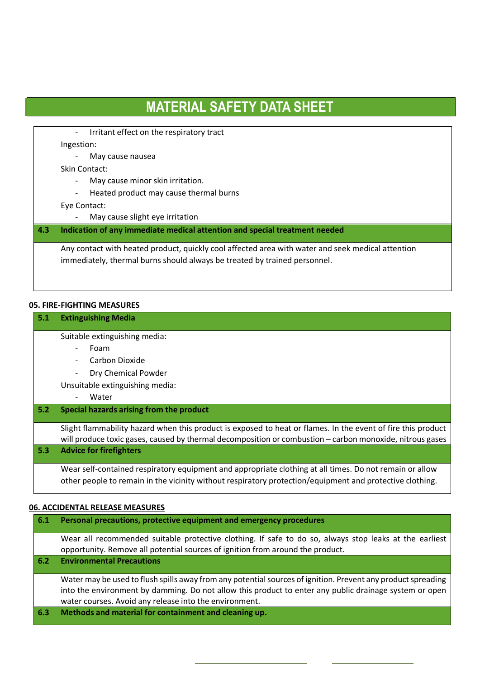- Irritant effect on the respiratory tract

Ingestion:

l

- May cause nausea
- Skin Contact:
	- May cause minor skin irritation.
	- Heated product may cause thermal burns

Eye Contact:

- May cause slight eye irritation

#### **4.3 Indication of any immediate medical attention and special treatment needed**

Any contact with heated product, quickly cool affected area with water and seek medical attention immediately, thermal burns should always be treated by trained personnel.

#### **05. FIRE-FIGHTING MEASURES**

| 5.1 | <b>Extinguishing Media</b>                                                                                                                                                                                               |  |  |  |
|-----|--------------------------------------------------------------------------------------------------------------------------------------------------------------------------------------------------------------------------|--|--|--|
|     | Suitable extinguishing media:                                                                                                                                                                                            |  |  |  |
|     | Foam                                                                                                                                                                                                                     |  |  |  |
|     | Carbon Dioxide                                                                                                                                                                                                           |  |  |  |
|     | Dry Chemical Powder                                                                                                                                                                                                      |  |  |  |
|     | Unsuitable extinguishing media:                                                                                                                                                                                          |  |  |  |
|     | Water                                                                                                                                                                                                                    |  |  |  |
| 5.2 | Special hazards arising from the product                                                                                                                                                                                 |  |  |  |
|     | Slight flammability hazard when this product is exposed to heat or flames. In the event of fire this product<br>will produce toxic gases, caused by thermal decomposition or combustion – carbon monoxide, nitrous gases |  |  |  |
| 5.3 | <b>Advice for firefighters</b>                                                                                                                                                                                           |  |  |  |
|     | Wear self-contained respiratory equipment and appropriate clothing at all times. Do not remain or allow<br>other people to remain in the vicinity without respiratory protection/equipment and protective clothing.      |  |  |  |

#### **06. ACCIDENTAL RELEASE MEASURES**

| 6.1 | Personal precautions, protective equipment and emergency procedures                                                                                                                                                                                                              |
|-----|----------------------------------------------------------------------------------------------------------------------------------------------------------------------------------------------------------------------------------------------------------------------------------|
|     | Wear all recommended suitable protective clothing. If safe to do so, always stop leaks at the earliest<br>opportunity. Remove all potential sources of ignition from around the product.                                                                                         |
| 6.2 | <b>Environmental Precautions</b>                                                                                                                                                                                                                                                 |
|     | Water may be used to flush spills away from any potential sources of ignition. Prevent any product spreading<br>into the environment by damming. Do not allow this product to enter any public drainage system or open<br>water courses. Avoid any release into the environment. |
| 6.3 | Methods and material for containment and cleaning up.                                                                                                                                                                                                                            |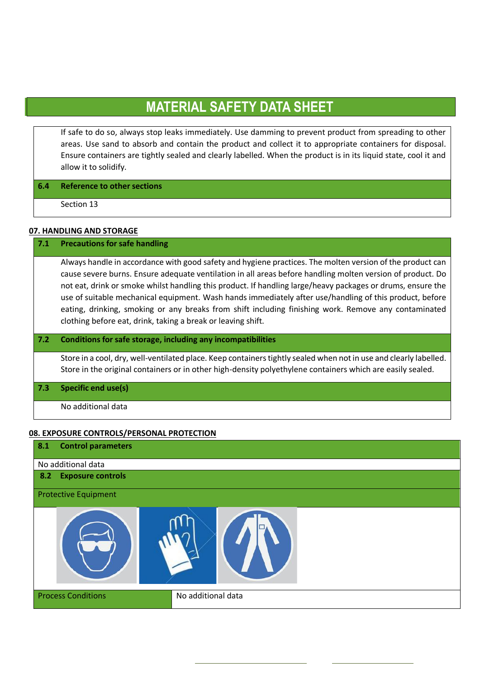If safe to do so, always stop leaks immediately. Use damming to prevent product from spreading to other areas. Use sand to absorb and contain the product and collect it to appropriate containers for disposal. Ensure containers are tightly sealed and clearly labelled. When the product is in its liquid state, cool it and allow it to solidify.

#### **6.4 Reference to other sections**

Section 13

l

#### **07. HANDLING AND STORAGE**

#### **7.1 Precautions for safe handling**

Always handle in accordance with good safety and hygiene practices. The molten version of the product can cause severe burns. Ensure adequate ventilation in all areas before handling molten version of product. Do not eat, drink or smoke whilst handling this product. If handling large/heavy packages or drums, ensure the use of suitable mechanical equipment. Wash hands immediately after use/handling of this product, before eating, drinking, smoking or any breaks from shift including finishing work. Remove any contaminated clothing before eat, drink, taking a break or leaving shift.

#### **7.2 Conditions for safe storage, including any incompatibilities**

Store in a cool, dry, well-ventilated place. Keep containers tightly sealed when not in use and clearly labelled. Store in the original containers or in other high-density polyethylene containers which are easily sealed.

**7.3 Specific end use(s)**

No additional data

#### **08. EXPOSURE CONTROLS/PERSONAL PROTECTION**

| 8.1 | <b>Control parameters</b>   |                    |
|-----|-----------------------------|--------------------|
|     | No additional data          |                    |
|     | 8.2 Exposure controls       |                    |
|     | <b>Protective Equipment</b> |                    |
|     |                             |                    |
|     | <b>Process Conditions</b>   | No additional data |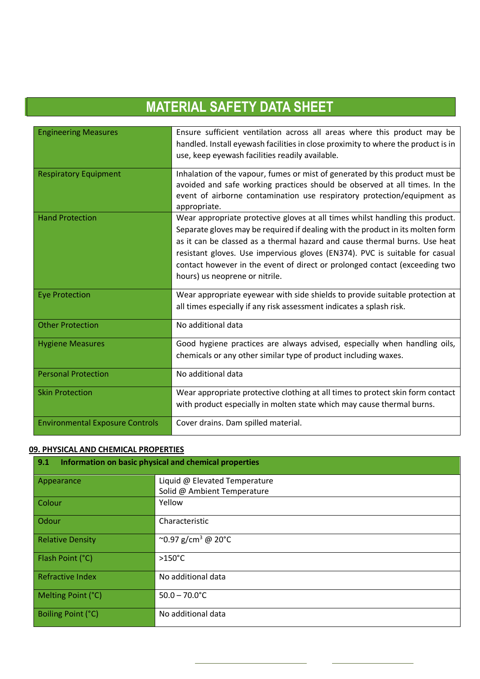| <b>Engineering Measures</b>            | Ensure sufficient ventilation across all areas where this product may be<br>handled. Install eyewash facilities in close proximity to where the product is in<br>use, keep eyewash facilities readily available.                                                                                                                                                                                                                             |
|----------------------------------------|----------------------------------------------------------------------------------------------------------------------------------------------------------------------------------------------------------------------------------------------------------------------------------------------------------------------------------------------------------------------------------------------------------------------------------------------|
| <b>Respiratory Equipment</b>           | Inhalation of the vapour, fumes or mist of generated by this product must be<br>avoided and safe working practices should be observed at all times. In the<br>event of airborne contamination use respiratory protection/equipment as<br>appropriate.                                                                                                                                                                                        |
| <b>Hand Protection</b>                 | Wear appropriate protective gloves at all times whilst handling this product.<br>Separate gloves may be required if dealing with the product in its molten form<br>as it can be classed as a thermal hazard and cause thermal burns. Use heat<br>resistant gloves. Use impervious gloves (EN374). PVC is suitable for casual<br>contact however in the event of direct or prolonged contact (exceeding two<br>hours) us neoprene or nitrile. |
| <b>Eye Protection</b>                  | Wear appropriate eyewear with side shields to provide suitable protection at<br>all times especially if any risk assessment indicates a splash risk.                                                                                                                                                                                                                                                                                         |
| <b>Other Protection</b>                | No additional data                                                                                                                                                                                                                                                                                                                                                                                                                           |
| <b>Hygiene Measures</b>                | Good hygiene practices are always advised, especially when handling oils,<br>chemicals or any other similar type of product including waxes.                                                                                                                                                                                                                                                                                                 |
| <b>Personal Protection</b>             | No additional data                                                                                                                                                                                                                                                                                                                                                                                                                           |
| <b>Skin Protection</b>                 | Wear appropriate protective clothing at all times to protect skin form contact<br>with product especially in molten state which may cause thermal burns.                                                                                                                                                                                                                                                                                     |
| <b>Environmental Exposure Controls</b> | Cover drains. Dam spilled material.                                                                                                                                                                                                                                                                                                                                                                                                          |

#### **09. PHYSICAL AND CHEMICAL PROPERTIES**

| 9.1<br>Information on basic physical and chemical properties |                                |  |
|--------------------------------------------------------------|--------------------------------|--|
| Appearance                                                   | Liquid @ Elevated Temperature  |  |
|                                                              | Solid @ Ambient Temperature    |  |
| Colour                                                       | Yellow                         |  |
| Odour                                                        | Characteristic                 |  |
| <b>Relative Density</b>                                      | ~0.97 g/cm <sup>3</sup> @ 20°C |  |
| Flash Point (°C)                                             | $>150^{\circ}$ C               |  |
| <b>Refractive Index</b>                                      | No additional data             |  |
| Melting Point (°C)                                           | $50.0 - 70.0^{\circ}$ C        |  |
| Boiling Point (°C)                                           | No additional data             |  |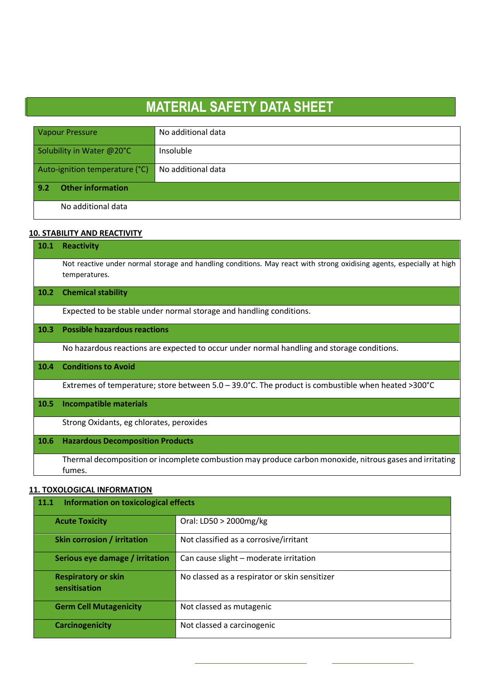| <b>Vapour Pressure</b>          | No additional data |
|---------------------------------|--------------------|
| Solubility in Water @20°C       | Insoluble          |
| Auto-ignition temperature (°C)  | No additional data |
| 9.2<br><b>Other information</b> |                    |
| No additional data              |                    |

#### **10. STABILITY AND REACTIVITY**

| 10.1 | <b>Reactivity</b>                                                                                                                      |  |  |
|------|----------------------------------------------------------------------------------------------------------------------------------------|--|--|
|      | Not reactive under normal storage and handling conditions. May react with strong oxidising agents, especially at high<br>temperatures. |  |  |
| 10.2 | <b>Chemical stability</b>                                                                                                              |  |  |
|      | Expected to be stable under normal storage and handling conditions.                                                                    |  |  |
| 10.3 | <b>Possible hazardous reactions</b>                                                                                                    |  |  |
|      | No hazardous reactions are expected to occur under normal handling and storage conditions.                                             |  |  |
| 10.4 | <b>Conditions to Avoid</b>                                                                                                             |  |  |
|      | Extremes of temperature; store between 5.0 - 39.0°C. The product is combustible when heated >300°C                                     |  |  |
| 10.5 | <b>Incompatible materials</b>                                                                                                          |  |  |
|      | Strong Oxidants, eg chlorates, peroxides                                                                                               |  |  |
| 10.6 | <b>Hazardous Decomposition Products</b>                                                                                                |  |  |
|      | Thermal decomposition or incomplete combustion may produce carbon monoxide, nitrous gases and irritating<br>fumes.                     |  |  |
|      | <b>11. TOXOLOGICAL INFORMATION</b>                                                                                                     |  |  |

| Information on toxicological effects<br><b>11.1</b> |                                               |
|-----------------------------------------------------|-----------------------------------------------|
| <b>Acute Toxicity</b>                               | Oral: LD50 > 2000mg/kg                        |
| Skin corrosion / irritation                         | Not classified as a corrosive/irritant        |
| Serious eye damage / irritation                     | Can cause slight - moderate irritation        |
| <b>Respiratory or skin</b><br>sensitisation         | No classed as a respirator or skin sensitizer |
| <b>Germ Cell Mutagenicity</b>                       | Not classed as mutagenic                      |
| <b>Carcinogenicity</b>                              | Not classed a carcinogenic                    |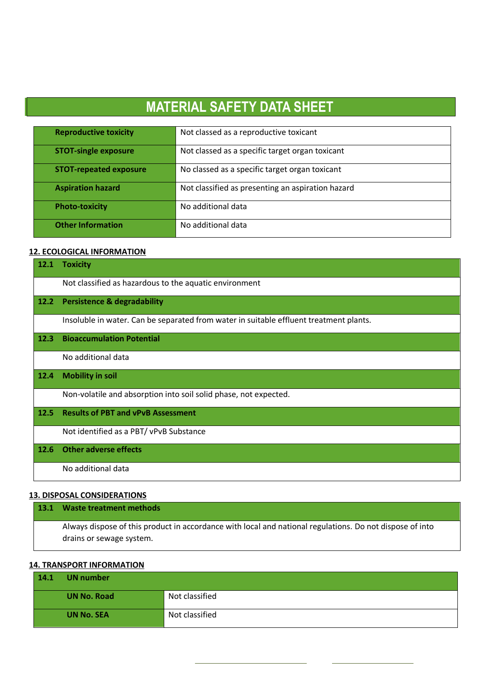| <b>Reproductive toxicity</b>  | Not classed as a reproductive toxicant            |
|-------------------------------|---------------------------------------------------|
| <b>STOT-single exposure</b>   | Not classed as a specific target organ toxicant   |
| <b>STOT-repeated exposure</b> | No classed as a specific target organ toxicant    |
| <b>Aspiration hazard</b>      | Not classified as presenting an aspiration hazard |
| <b>Photo-toxicity</b>         | No additional data                                |
| <b>Other Information</b>      | No additional data                                |

#### **12. ECOLOGICAL INFORMATION**

l

| 12.1 | <b>Toxicity</b>                                                                        |
|------|----------------------------------------------------------------------------------------|
|      | Not classified as hazardous to the aquatic environment                                 |
| 12.2 | <b>Persistence &amp; degradability</b>                                                 |
|      | Insoluble in water. Can be separated from water in suitable effluent treatment plants. |
| 12.3 | <b>Bioaccumulation Potential</b>                                                       |
|      | No additional data                                                                     |
| 12.4 | <b>Mobility in soil</b>                                                                |
|      | Non-volatile and absorption into soil solid phase, not expected.                       |
| 12.5 | <b>Results of PBT and vPvB Assessment</b>                                              |
|      | Not identified as a PBT/ vPvB Substance                                                |
| 12.6 | <b>Other adverse effects</b>                                                           |
|      | No additional data                                                                     |

### **13.1 Waste treatment methods** Always dispose of this product in accordance with local and national regulations. Do not dispose of into drains or sewage system.

#### **14. TRANSPORT INFORMATION**

| 14.1 | <b>UN</b> number   |                |
|------|--------------------|----------------|
|      | <b>UN No. Road</b> | Not classified |
|      | <b>UN No. SEA</b>  | Not classified |